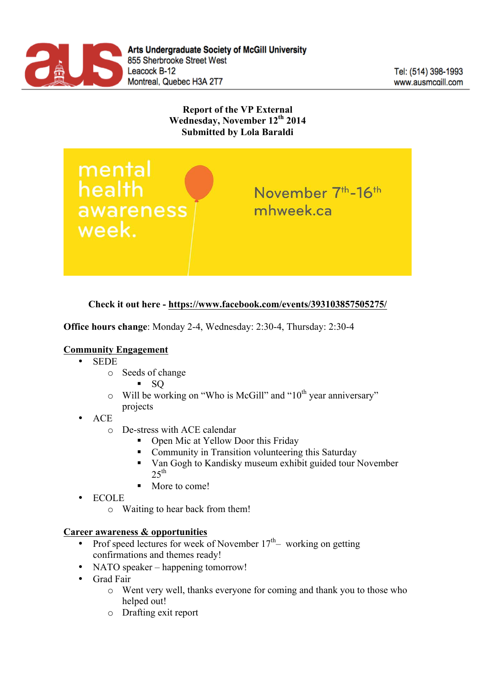

# **Report of the VP External Wednesday, November 12th 2014 Submitted by Lola Baraldi**

mental<br>health awareness week.

November 7<sup>th</sup>-16<sup>th</sup> mhweek.ca

# **Check it out here - https://www.facebook.com/events/393103857505275/**

**Office hours change**: Monday 2-4, Wednesday: 2:30-4, Thursday: 2:30-4

### **Community Engagement**

- SEDE
	- o Seeds of change
		- $\blacksquare$  SO
	- $\circ$  Will be working on "Who is McGill" and "10<sup>th</sup> year anniversary" projects
- ACE
	- o De-stress with ACE calendar
		- Open Mic at Yellow Door this Friday
		- § Community in Transition volunteering this Saturday
		- Van Gogh to Kandisky museum exhibit guided tour November  $25$ <sup>th</sup>
		- § More to come!
- ECOLE
	- o Waiting to hear back from them!

#### **Career awareness & opportunities**

- Prof speed lectures for week of November  $17<sup>th</sup>$  working on getting confirmations and themes ready!
- NATO speaker happening tomorrow!
- Grad Fair
	- o Went very well, thanks everyone for coming and thank you to those who helped out!
	- o Drafting exit report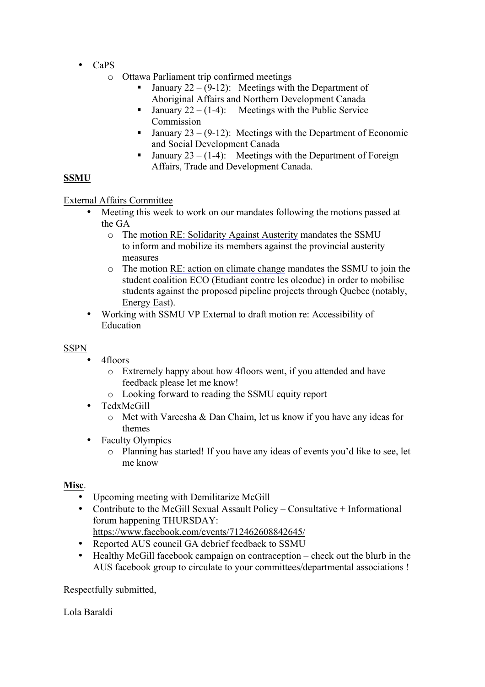- CaPS
	- o Ottawa Parliament trip confirmed meetings
		- **•** January  $22 (9-12)$ : Meetings with the Department of Aboriginal Affairs and Northern Development Canada
		- **•** January  $22 (1-4)$ : Meetings with the Public Service Commission
		- **•** January  $23 (9-12)$ : Meetings with the Department of Economic and Social Development Canada
		- **•** January  $23 (1-4)$ : Meetings with the Department of Foreign Affairs, Trade and Development Canada.

# **SSMU**

### External Affairs Committee

- Meeting this week to work on our mandates following the motions passed at the GA
	- o The motion RE: Solidarity Against Austerity mandates the SSMU to inform and mobilize its members against the provincial austerity measures
	- o The motion RE: action on climate change mandates the SSMU to join the student coalition ECO (Etudiant contre les oleoduc) in order to mobilise students against the proposed pipeline projects through Quebec (notably, Energy East).
- Working with SSMU VP External to draft motion re: Accessibility of Education

## **SSPN**

- 4floors
	- o Extremely happy about how 4floors went, if you attended and have feedback please let me know!
	- o Looking forward to reading the SSMU equity report
- TedxMcGill
	- o Met with Vareesha & Dan Chaim, let us know if you have any ideas for themes
- Faculty Olympics
	- o Planning has started! If you have any ideas of events you'd like to see, let me know

### **Misc**.

- Upcoming meeting with Demilitarize McGill
- Contribute to the McGill Sexual Assault Policy Consultative + Informational forum happening THURSDAY:
- https://www.facebook.com/events/712462608842645/
- Reported AUS council GA debrief feedback to SSMU
- Healthy McGill facebook campaign on contraception check out the blurb in the AUS facebook group to circulate to your committees/departmental associations !

Respectfully submitted,

Lola Baraldi